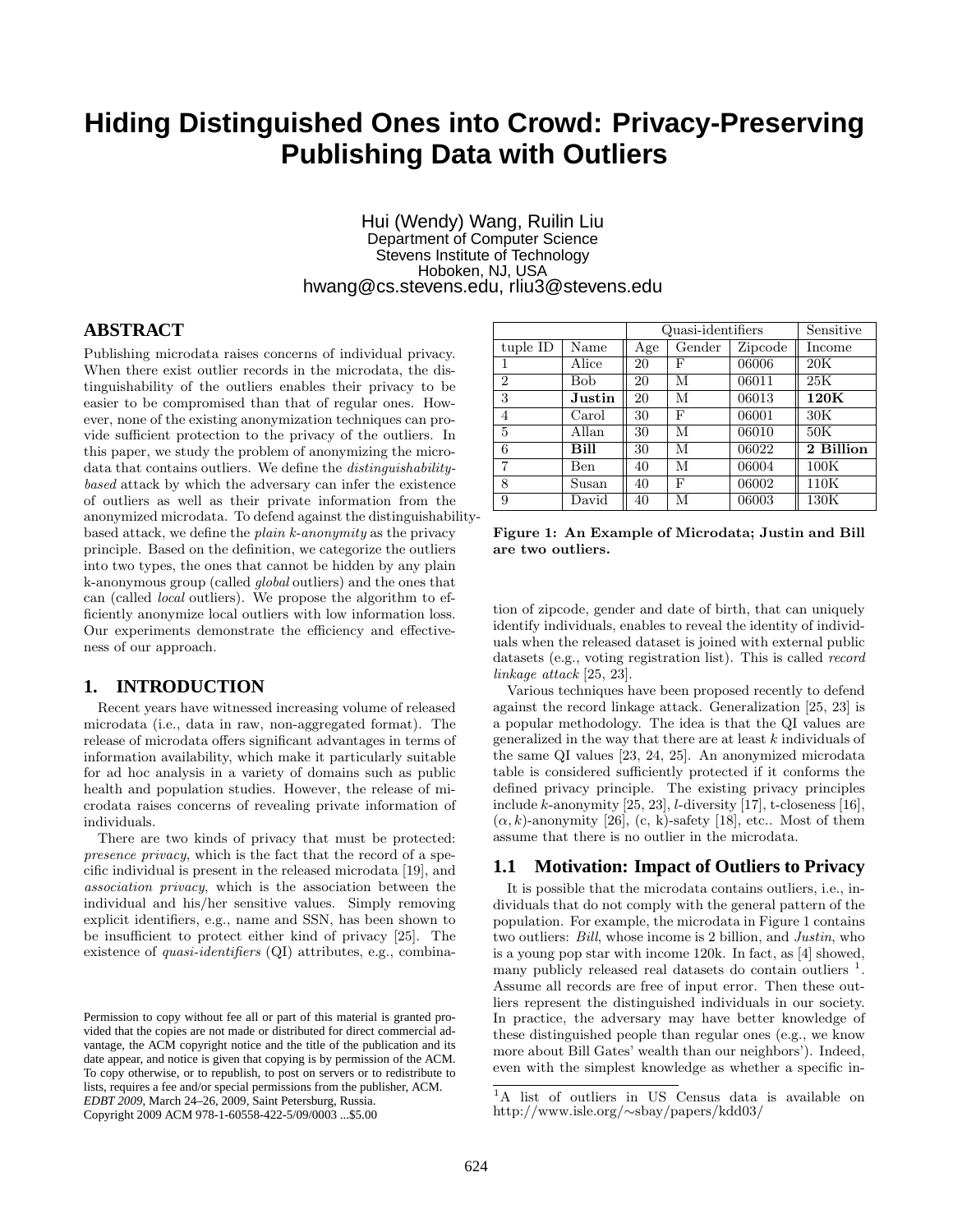# **Hiding Distinguished Ones into Crowd: Privacy-Preserving Publishing Data with Outliers**

#### Hui (Wendy) Wang, Ruilin Liu Department of Computer Science Stevens Institute of Technology Hoboken, NJ, USA hwang@cs.stevens.edu, rliu3@stevens.edu

# **ABSTRACT**

Publishing microdata raises concerns of individual privacy. When there exist outlier records in the microdata, the distinguishability of the outliers enables their privacy to be easier to be compromised than that of regular ones. However, none of the existing anonymization techniques can provide sufficient protection to the privacy of the outliers. In this paper, we study the problem of anonymizing the microdata that contains outliers. We define the *distinguishability*based attack by which the adversary can infer the existence of outliers as well as their private information from the anonymized microdata. To defend against the distinguishabilitybased attack, we define the plain k-anonymity as the privacy principle. Based on the definition, we categorize the outliers into two types, the ones that cannot be hidden by any plain k-anonymous group (called global outliers) and the ones that can (called local outliers). We propose the algorithm to efficiently anonymize local outliers with low information loss. Our experiments demonstrate the efficiency and effectiveness of our approach.

# **1. INTRODUCTION**

Recent years have witnessed increasing volume of released microdata (i.e., data in raw, non-aggregated format). The release of microdata offers significant advantages in terms of information availability, which make it particularly suitable for ad hoc analysis in a variety of domains such as public health and population studies. However, the release of microdata raises concerns of revealing private information of individuals.

There are two kinds of privacy that must be protected: presence privacy, which is the fact that the record of a specific individual is present in the released microdata [19], and association privacy, which is the association between the individual and his/her sensitive values. Simply removing explicit identifiers, e.g., name and SSN, has been shown to be insufficient to protect either kind of privacy [25]. The existence of *quasi-identifiers* (QI) attributes, e.g., combina-

|                |        | Quasi-identifiers |        | Sensitive |           |
|----------------|--------|-------------------|--------|-----------|-----------|
| $tuple$ ID     | Name   | Age               | Gender | Zipcode   | Income    |
|                | Alice  | 20                | F      | 06006     | 20K       |
| $\overline{2}$ | Bob    | 20                | М      | 06011     | 25K       |
| 3              | Justin | 20                | М      | 06013     | 120K      |
| 4              | Carol  | 30                | F      | 06001     | 30K       |
| 5              | Allan  | 30                | M      | 06010     | 50K       |
| 6              | Bill   | 30                | М      | 06022     | 2 Billion |
|                | Ben    | 40                | M      | 06004     | 100K      |
| 8              | Susan  | 40                | F      | 06002     | 110K      |
| 9              | David  | 40                | М      | 06003     | 130K      |

Figure 1: An Example of Microdata; Justin and Bill are two outliers.

tion of zipcode, gender and date of birth, that can uniquely identify individuals, enables to reveal the identity of individuals when the released dataset is joined with external public datasets (e.g., voting registration list). This is called record linkage attack [25, 23].

Various techniques have been proposed recently to defend against the record linkage attack. Generalization [25, 23] is a popular methodology. The idea is that the QI values are generalized in the way that there are at least  $k$  individuals of the same QI values [23, 24, 25]. An anonymized microdata table is considered sufficiently protected if it conforms the defined privacy principle. The existing privacy principles include k-anonymity  $[25, 23]$ , *l*-diversity  $[17]$ , t-closeness  $[16]$ ,  $(\alpha, k)$ -anonymity [26], (c, k)-safety [18], etc.. Most of them assume that there is no outlier in the microdata.

# **1.1 Motivation: Impact of Outliers to Privacy**

It is possible that the microdata contains outliers, i.e., individuals that do not comply with the general pattern of the population. For example, the microdata in Figure 1 contains two outliers: Bill, whose income is 2 billion, and Justin, who is a young pop star with income 120k. In fact, as [4] showed, many publicly released real datasets do contain outliers<sup>1</sup> . Assume all records are free of input error. Then these outliers represent the distinguished individuals in our society. In practice, the adversary may have better knowledge of these distinguished people than regular ones (e.g., we know more about Bill Gates' wealth than our neighbors'). Indeed, even with the simplest knowledge as whether a specific in-

Permission to copy without fee all or part of this material is granted provided that the copies are not made or distributed for direct commercial advantage, the ACM copyright notice and the title of the publication and its date appear, and notice is given that copying is by permission of the ACM. To copy otherwise, or to republish, to post on servers or to redistribute to lists, requires a fee and/or special permissions from the publisher, ACM. *EDBT 2009*, March 24–26, 2009, Saint Petersburg, Russia. Copyright 2009 ACM 978-1-60558-422-5/09/0003 ...\$5.00

<sup>&</sup>lt;sup>1</sup>A list of outliers in US Census data is available on http://www.isle.org/∼sbay/papers/kdd03/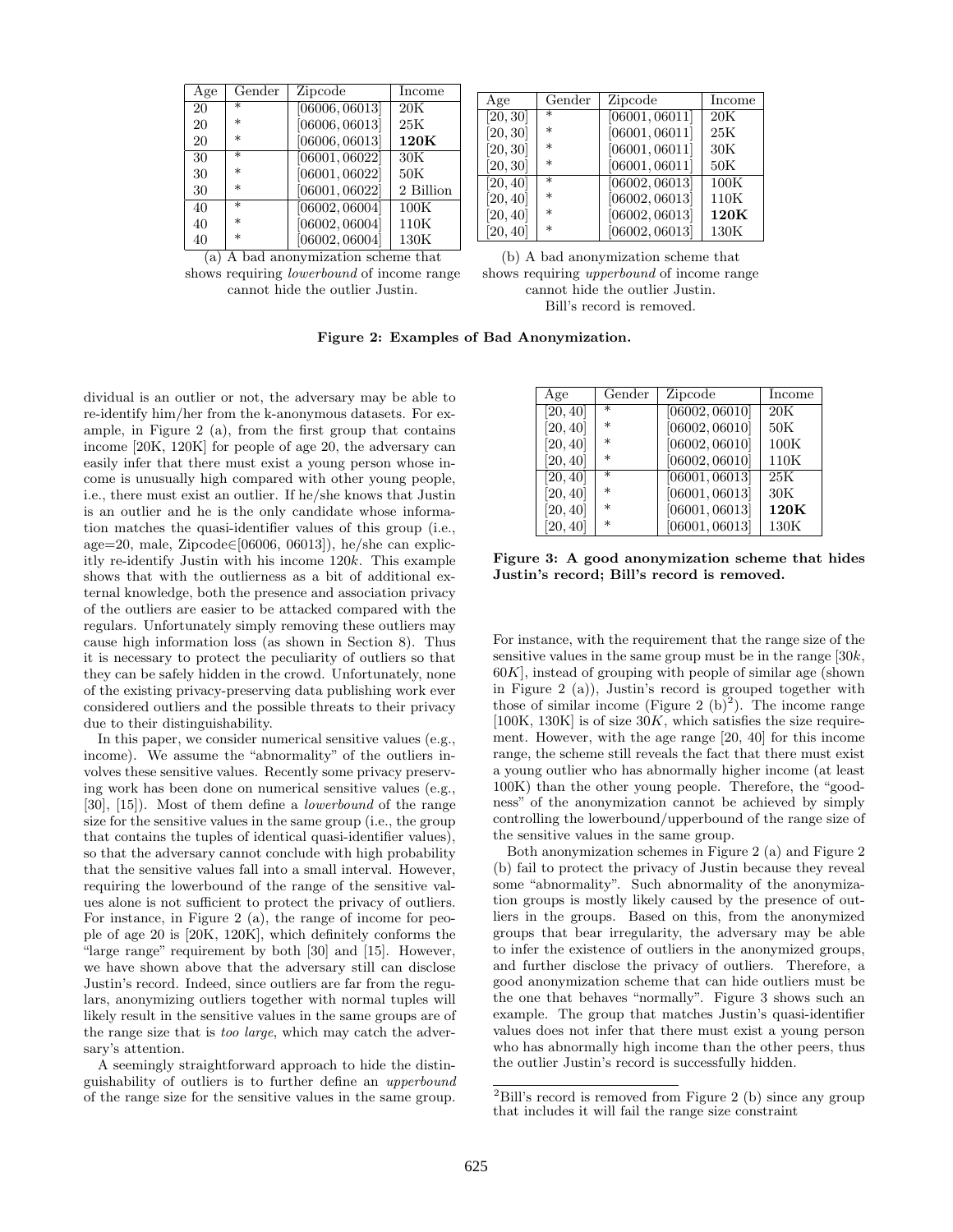| Age | Gender | Zipcode        | Income    |
|-----|--------|----------------|-----------|
| 20  | $\ast$ | [06006, 06013] | 20K       |
| 20  | $\ast$ | [06006, 06013] | 25K       |
| 20  | $\ast$ | [06006, 06013] | 120K      |
| 30  | $\ast$ | [06001, 06022] | 30K       |
| 30  | $\ast$ | [06001, 06022] | 50K       |
| 30  | $\ast$ | [06001, 06022] | 2 Billion |
| 40  | $\ast$ | [06002, 06004] | 100K      |
| 40  | $\ast$ | [06002, 06004] | 110K      |
| 40  | $\ast$ | [06002, 06004] | 130K      |

| Age      | Gender            | Zipcode        | Income |
|----------|-------------------|----------------|--------|
| [20, 30] | $\overline{\ast}$ | [06001, 06011] | 20K    |
| [20, 30] | $\ast$            | [06001, 06011] | 25K    |
| [20, 30] | $\ast$            | [06001, 06011] | 30K    |
| [20, 30] | $^\ast$           | [06001, 06011] | 50K    |
| [20, 40] | $\ast$            | [06002, 06013] | 100K   |
| [20, 40] | $\ast$            | [06002, 06013] | 110K   |
| [20, 40] | $\ast$            | [06002, 06013] | 120K   |
| [20, 40] | $^\ast$           | [06002, 06013] | 130K   |

shows requiring *lowerbound* of income range shows requiring upperbound of income range cannot hide the outlier Justin. cannot hide the outlier Justin.

(a) A bad anonymization scheme that (b) A bad anonymization scheme that Bill's record is removed.

Figure 2: Examples of Bad Anonymization.

dividual is an outlier or not, the adversary may be able to re-identify him/her from the k-anonymous datasets. For example, in Figure 2 (a), from the first group that contains income [20K, 120K] for people of age 20, the adversary can easily infer that there must exist a young person whose income is unusually high compared with other young people, i.e., there must exist an outlier. If he/she knows that Justin is an outlier and he is the only candidate whose information matches the quasi-identifier values of this group (i.e., age=20, male, Zipcode∈[06006, 06013]), he/she can explicitly re-identify Justin with his income 120k. This example shows that with the outlierness as a bit of additional external knowledge, both the presence and association privacy of the outliers are easier to be attacked compared with the regulars. Unfortunately simply removing these outliers may cause high information loss (as shown in Section 8). Thus it is necessary to protect the peculiarity of outliers so that they can be safely hidden in the crowd. Unfortunately, none of the existing privacy-preserving data publishing work ever considered outliers and the possible threats to their privacy due to their distinguishability.

In this paper, we consider numerical sensitive values (e.g., income). We assume the "abnormality" of the outliers involves these sensitive values. Recently some privacy preserving work has been done on numerical sensitive values (e.g., [30], [15]). Most of them define a lowerbound of the range size for the sensitive values in the same group (i.e., the group that contains the tuples of identical quasi-identifier values), so that the adversary cannot conclude with high probability that the sensitive values fall into a small interval. However, requiring the lowerbound of the range of the sensitive values alone is not sufficient to protect the privacy of outliers. For instance, in Figure 2 (a), the range of income for people of age 20 is [20K, 120K], which definitely conforms the "large range" requirement by both [30] and [15]. However, we have shown above that the adversary still can disclose Justin's record. Indeed, since outliers are far from the regulars, anonymizing outliers together with normal tuples will likely result in the sensitive values in the same groups are of the range size that is too large, which may catch the adversary's attention.

A seemingly straightforward approach to hide the distinguishability of outliers is to further define an upperbound of the range size for the sensitive values in the same group.

| Age      | Gender  | Zipcode        | Income |
|----------|---------|----------------|--------|
| [20, 40] | $\ast$  | [06002, 06010] | 20K    |
| [20, 40] | $\ast$  | [06002, 06010] | 50K    |
| [20, 40] | $^\ast$ | [06002, 06010] | 100K   |
| [20, 40] | $^\ast$ | [06002, 06010] | 110K   |
| [20, 40] | $\ast$  | [06001, 06013] | 25K    |
| [20, 40] | $^\ast$ | [06001, 06013] | 30K    |
| [20, 40] | $\ast$  | [06001, 06013] | 120K   |
| [20, 40] | $\ast$  | [06001, 06013] | 130K   |

Figure 3: A good anonymization scheme that hides Justin's record; Bill's record is removed.

For instance, with the requirement that the range size of the sensitive values in the same group must be in the range  $[30k,$  $60K$ , instead of grouping with people of similar age (shown in Figure 2 (a)), Justin's record is grouped together with those of similar income (Figure 2  $(b)^2$ ). The income range  $[100K, 130K]$  is of size  $30K$ , which satisfies the size requirement. However, with the age range [20, 40] for this income range, the scheme still reveals the fact that there must exist a young outlier who has abnormally higher income (at least 100K) than the other young people. Therefore, the "goodness" of the anonymization cannot be achieved by simply controlling the lowerbound/upperbound of the range size of the sensitive values in the same group.

Both anonymization schemes in Figure 2 (a) and Figure 2 (b) fail to protect the privacy of Justin because they reveal some "abnormality". Such abnormality of the anonymization groups is mostly likely caused by the presence of outliers in the groups. Based on this, from the anonymized groups that bear irregularity, the adversary may be able to infer the existence of outliers in the anonymized groups, and further disclose the privacy of outliers. Therefore, a good anonymization scheme that can hide outliers must be the one that behaves "normally". Figure 3 shows such an example. The group that matches Justin's quasi-identifier values does not infer that there must exist a young person who has abnormally high income than the other peers, thus the outlier Justin's record is successfully hidden.

<sup>2</sup>Bill's record is removed from Figure 2 (b) since any group that includes it will fail the range size constraint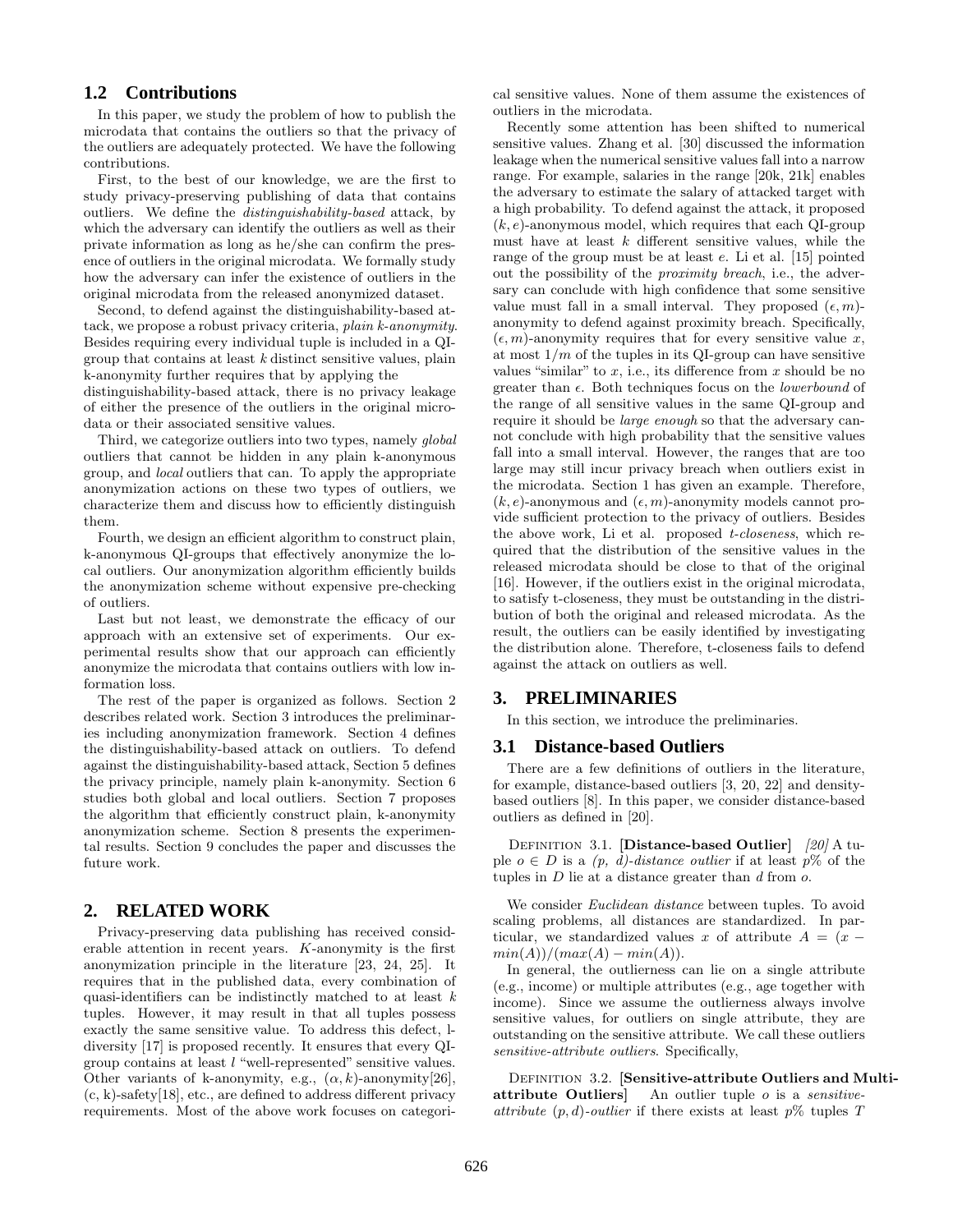## **1.2 Contributions**

In this paper, we study the problem of how to publish the microdata that contains the outliers so that the privacy of the outliers are adequately protected. We have the following contributions.

First, to the best of our knowledge, we are the first to study privacy-preserving publishing of data that contains outliers. We define the distinguishability-based attack, by which the adversary can identify the outliers as well as their private information as long as he/she can confirm the presence of outliers in the original microdata. We formally study how the adversary can infer the existence of outliers in the original microdata from the released anonymized dataset.

Second, to defend against the distinguishability-based attack, we propose a robust privacy criteria, plain k-anonymity. Besides requiring every individual tuple is included in a QIgroup that contains at least  $k$  distinct sensitive values, plain k-anonymity further requires that by applying the

distinguishability-based attack, there is no privacy leakage of either the presence of the outliers in the original microdata or their associated sensitive values.

Third, we categorize outliers into two types, namely *alobal* outliers that cannot be hidden in any plain k-anonymous group, and local outliers that can. To apply the appropriate anonymization actions on these two types of outliers, we characterize them and discuss how to efficiently distinguish them.

Fourth, we design an efficient algorithm to construct plain, k-anonymous QI-groups that effectively anonymize the local outliers. Our anonymization algorithm efficiently builds the anonymization scheme without expensive pre-checking of outliers.

Last but not least, we demonstrate the efficacy of our approach with an extensive set of experiments. Our experimental results show that our approach can efficiently anonymize the microdata that contains outliers with low information loss.

The rest of the paper is organized as follows. Section 2 describes related work. Section 3 introduces the preliminaries including anonymization framework. Section 4 defines the distinguishability-based attack on outliers. To defend against the distinguishability-based attack, Section 5 defines the privacy principle, namely plain k-anonymity. Section 6 studies both global and local outliers. Section 7 proposes the algorithm that efficiently construct plain, k-anonymity anonymization scheme. Section 8 presents the experimental results. Section 9 concludes the paper and discusses the future work.

# **2. RELATED WORK**

Privacy-preserving data publishing has received considerable attention in recent years. K-anonymity is the first anonymization principle in the literature [23, 24, 25]. It requires that in the published data, every combination of quasi-identifiers can be indistinctly matched to at least k tuples. However, it may result in that all tuples possess exactly the same sensitive value. To address this defect, ldiversity [17] is proposed recently. It ensures that every QIgroup contains at least l "well-represented" sensitive values. Other variants of k-anonymity, e.g.,  $(\alpha, k)$ -anonymity[26], (c, k)-safety[18], etc., are defined to address different privacy requirements. Most of the above work focuses on categorical sensitive values. None of them assume the existences of outliers in the microdata.

Recently some attention has been shifted to numerical sensitive values. Zhang et al. [30] discussed the information leakage when the numerical sensitive values fall into a narrow range. For example, salaries in the range [20k, 21k] enables the adversary to estimate the salary of attacked target with a high probability. To defend against the attack, it proposed  $(k, e)$ -anonymous model, which requires that each QI-group must have at least  $k$  different sensitive values, while the range of the group must be at least e. Li et al. [15] pointed out the possibility of the proximity breach, i.e., the adversary can conclude with high confidence that some sensitive value must fall in a small interval. They proposed  $(\epsilon, m)$ anonymity to defend against proximity breach. Specifically,  $(\epsilon, m)$ -anonymity requires that for every sensitive value x, at most  $1/m$  of the tuples in its QI-group can have sensitive values "similar" to  $x$ , i.e., its difference from  $x$  should be no greater than  $\epsilon$ . Both techniques focus on the *lowerbound* of the range of all sensitive values in the same QI-group and require it should be large enough so that the adversary cannot conclude with high probability that the sensitive values fall into a small interval. However, the ranges that are too large may still incur privacy breach when outliers exist in the microdata. Section 1 has given an example. Therefore,  $(k, e)$ -anonymous and  $(e, m)$ -anonymity models cannot provide sufficient protection to the privacy of outliers. Besides the above work, Li et al. proposed t-closeness, which required that the distribution of the sensitive values in the released microdata should be close to that of the original [16]. However, if the outliers exist in the original microdata, to satisfy t-closeness, they must be outstanding in the distribution of both the original and released microdata. As the result, the outliers can be easily identified by investigating the distribution alone. Therefore, t-closeness fails to defend against the attack on outliers as well.

#### **3. PRELIMINARIES**

In this section, we introduce the preliminaries.

#### **3.1 Distance-based Outliers**

There are a few definitions of outliers in the literature, for example, distance-based outliers [3, 20, 22] and densitybased outliers [8]. In this paper, we consider distance-based outliers as defined in [20].

DEFINITION 3.1. [Distance-based Outlier]  $[20]$  A tuple  $o \in D$  is a  $(p, d)$ -distance outlier if at least  $p\%$  of the tuples in  $D$  lie at a distance greater than  $d$  from  $o$ .

We consider *Euclidean distance* between tuples. To avoid scaling problems, all distances are standardized. In particular, we standardized values x of attribute  $A = (x$  $min(A)/(max(A) - min(A)).$ 

In general, the outlierness can lie on a single attribute (e.g., income) or multiple attributes (e.g., age together with income). Since we assume the outlierness always involve sensitive values, for outliers on single attribute, they are outstanding on the sensitive attribute. We call these outliers sensitive-attribute outliers. Specifically,

DEFINITION 3.2. [Sensitive-attribute Outliers and Multiattribute Outliers  $\Delta$  An outlier tuple o is a *sensitive*attribute  $(p, d)$ -outlier if there exists at least  $p\%$  tuples T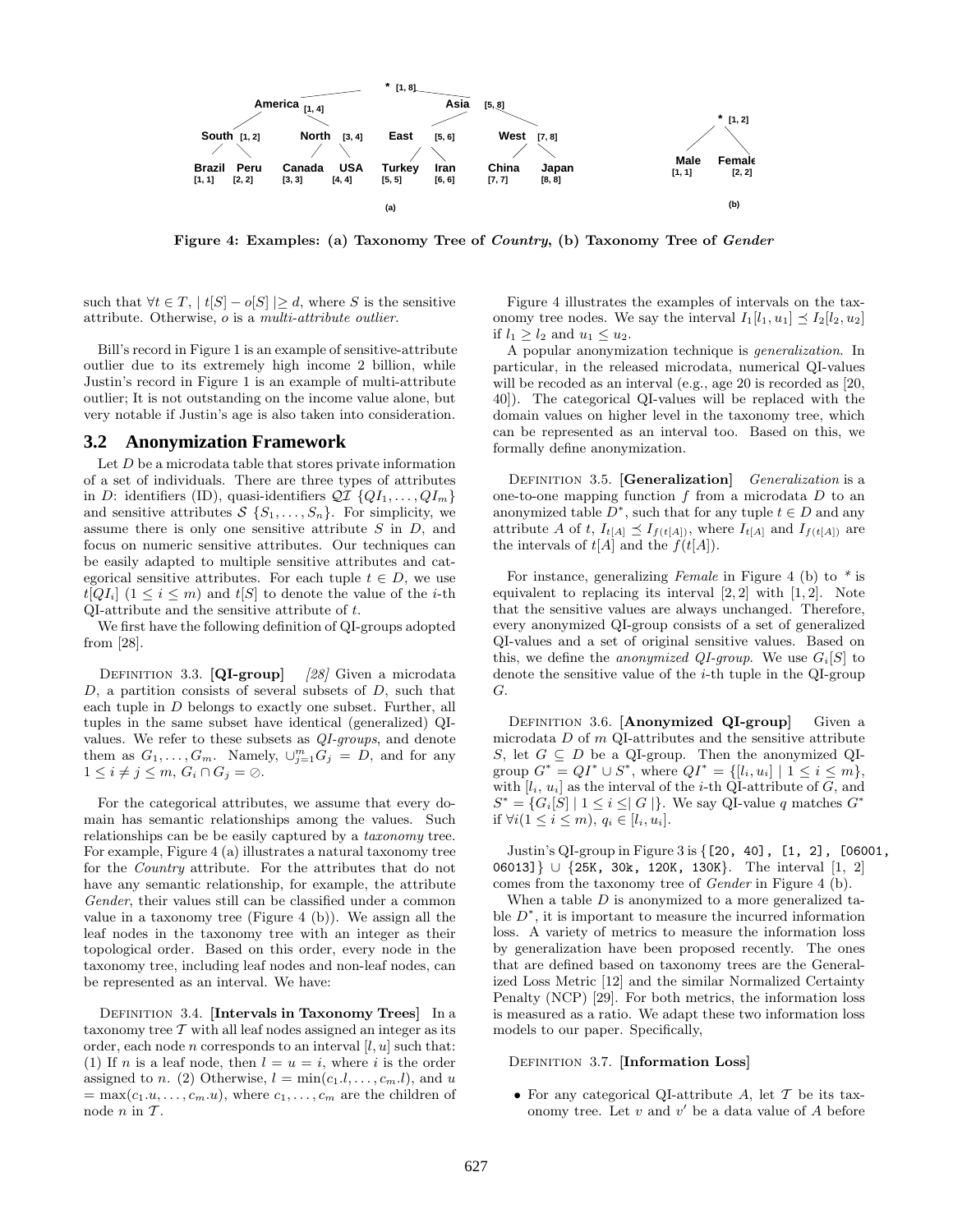

Figure 4: Examples: (a) Taxonomy Tree of Country, (b) Taxonomy Tree of Gender

such that  $\forall t \in T, |t[S] - o[S]| \geq d$ , where S is the sensitive attribute. Otherwise, o is a multi-attribute outlier.

Bill's record in Figure 1 is an example of sensitive-attribute outlier due to its extremely high income 2 billion, while Justin's record in Figure 1 is an example of multi-attribute outlier; It is not outstanding on the income value alone, but very notable if Justin's age is also taken into consideration.

#### **3.2 Anonymization Framework**

Let  $D$  be a microdata table that stores private information of a set of individuals. There are three types of attributes in D: identifiers (ID), quasi-identifiers  $\mathcal{QI} \{QI_1, \ldots, QI_m\}$ and sensitive attributes  $S \{S_1, \ldots, S_n\}$ . For simplicity, we assume there is only one sensitive attribute  $S$  in  $D$ , and focus on numeric sensitive attributes. Our techniques can be easily adapted to multiple sensitive attributes and categorical sensitive attributes. For each tuple  $t \in D$ , we use  $t[QI_i]$   $(1 \leq i \leq m)$  and  $t[S]$  to denote the value of the *i*-th QI-attribute and the sensitive attribute of t.

We first have the following definition of QI-groups adopted from [28].

DEFINITION 3.3.  $[QI-group]$  [28] Given a microdata  $D$ , a partition consists of several subsets of  $D$ , such that each tuple in D belongs to exactly one subset. Further, all tuples in the same subset have identical (generalized) QIvalues. We refer to these subsets as QI-groups, and denote them as  $G_1, \ldots, G_m$ . Namely,  $\cup_{j=1}^m G_j = D$ , and for any  $1 \leq i \neq j \leq m$ ,  $G_i \cap G_j = \emptyset$ .

For the categorical attributes, we assume that every domain has semantic relationships among the values. Such relationships can be be easily captured by a taxonomy tree. For example, Figure 4 (a) illustrates a natural taxonomy tree for the Country attribute. For the attributes that do not have any semantic relationship, for example, the attribute Gender, their values still can be classified under a common value in a taxonomy tree (Figure 4 (b)). We assign all the leaf nodes in the taxonomy tree with an integer as their topological order. Based on this order, every node in the taxonomy tree, including leaf nodes and non-leaf nodes, can be represented as an interval. We have:

DEFINITION 3.4. [Intervals in Taxonomy Trees] In a taxonomy tree  $\mathcal T$  with all leaf nodes assigned an integer as its order, each node *n* corresponds to an interval  $[l, u]$  such that: (1) If *n* is a leaf node, then  $l = u = i$ , where *i* is the order assigned to n. (2) Otherwise,  $l = \min(c_1, l, \ldots, c_m, l)$ , and u  $= max(c_1, u, \ldots, c_m, u)$ , where  $c_1, \ldots, c_m$  are the children of node  $n$  in  $T$ .

Figure 4 illustrates the examples of intervals on the taxonomy tree nodes. We say the interval  $I_1[l_1, u_1] \preceq I_2[l_2, u_2]$ if  $l_1 \geq l_2$  and  $u_1 \leq u_2$ .

A popular anonymization technique is generalization. In particular, in the released microdata, numerical QI-values will be recoded as an interval (e.g., age 20 is recorded as [20, 40]). The categorical QI-values will be replaced with the domain values on higher level in the taxonomy tree, which can be represented as an interval too. Based on this, we formally define anonymization.

DEFINITION 3.5. [Generalization] Generalization is a one-to-one mapping function  $f$  from a microdata  $D$  to an anonymized table  $\overrightarrow{D}^*$ , such that for any tuple  $t \in D$  and any attribute A of t,  $I_{t[A]} \preceq I_{f(t[A])}$ , where  $I_{t[A]}$  and  $I_{f(t[A])}$  are the intervals of  $t[A]$  and the  $f(t[A])$ .

For instance, generalizing Female in Figure 4 (b) to  $*$  is equivalent to replacing its interval  $[2, 2]$  with  $[1, 2]$ . Note that the sensitive values are always unchanged. Therefore, every anonymized QI-group consists of a set of generalized QI-values and a set of original sensitive values. Based on this, we define the anonymized QI-group. We use  $G_i[S]$  to denote the sensitive value of the  $i$ -th tuple in the QI-group G.

DEFINITION 3.6. [Anonymized QI-group] Given a microdata  $D$  of  $m$  QI-attributes and the sensitive attribute S, let  $G \subseteq D$  be a QI-group. Then the anonymized QIgroup  $G^* = QI^* \cup S^*$ , where  $QI^* = \{[l_i, u_i] \mid 1 \leq i \leq m\},$ with  $[l_i, u_i]$  as the interval of the *i*-th QI-attribute of  $G$ , and  $S^* = \{G_i[S] \mid 1 \leq i \leq |G| \}$ . We say QI-value q matches  $G^*$ if  $\forall i (1 \leq i \leq m), q_i \in [l_i, u_i].$ 

Justin's QI-group in Figure 3 is {[20, 40], [1, 2], [06001, 06013]} ∪ {25K, 30k, 120K, 130K}. The interval [1, 2] comes from the taxonomy tree of Gender in Figure 4 (b).

When a table  $D$  is anonymized to a more generalized table  $D^*$ , it is important to measure the incurred information loss. A variety of metrics to measure the information loss by generalization have been proposed recently. The ones that are defined based on taxonomy trees are the Generalized Loss Metric [12] and the similar Normalized Certainty Penalty (NCP) [29]. For both metrics, the information loss is measured as a ratio. We adapt these two information loss models to our paper. Specifically,

#### DEFINITION 3.7. [Information Loss]

• For any categorical QI-attribute A, let  $\mathcal T$  be its taxonomy tree. Let  $v$  and  $v'$  be a data value of  $A$  before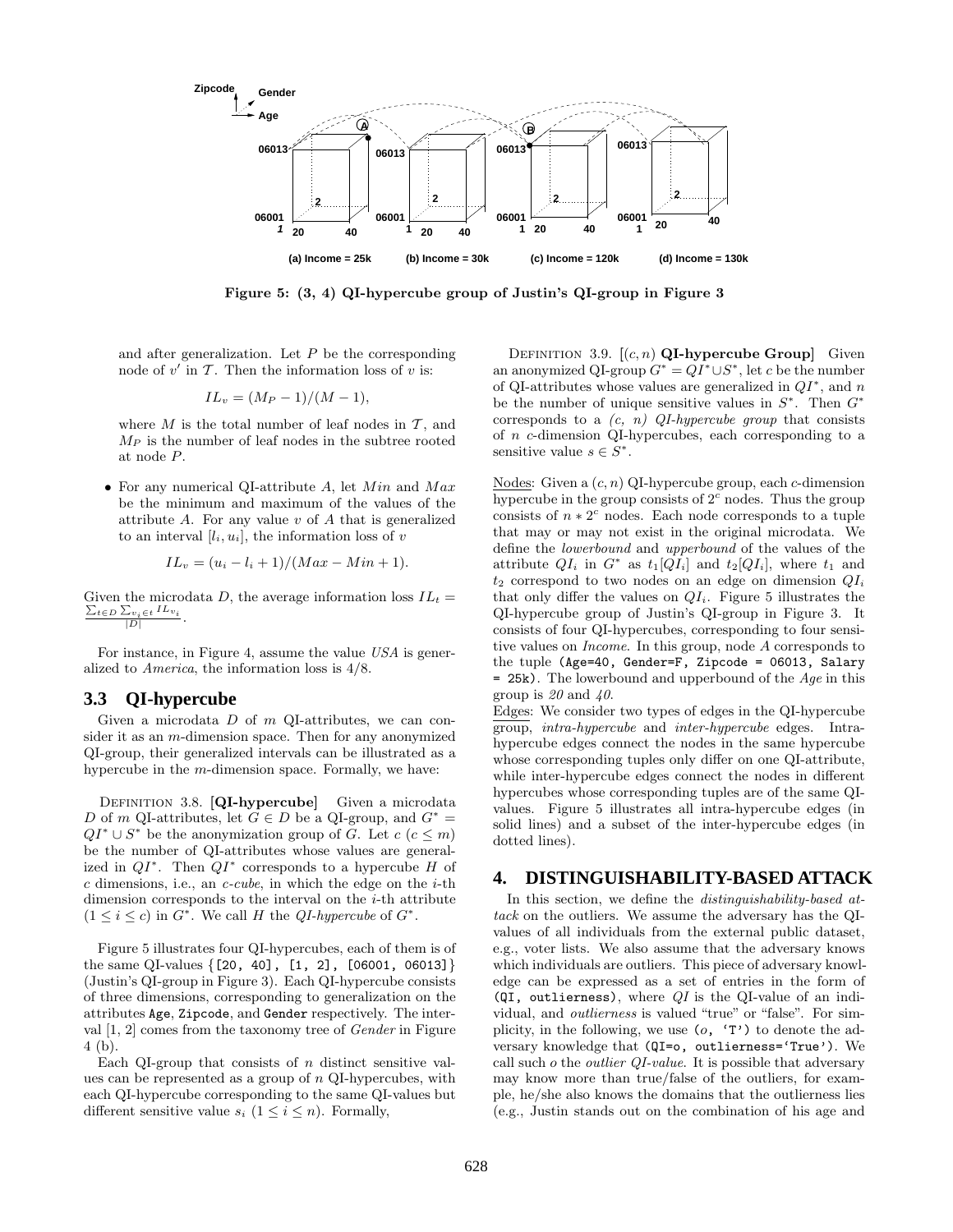

Figure 5: (3, 4) QI-hypercube group of Justin's QI-group in Figure 3

and after generalization. Let  $P$  be the corresponding node of  $v'$  in  $\mathcal T$ . Then the information loss of  $v$  is:

$$
IL_v = (M_P - 1)/(M - 1),
$$

where  $M$  is the total number of leaf nodes in  $\mathcal{T}$ , and  $M_P$  is the number of leaf nodes in the subtree rooted at node P.

• For any numerical QI-attribute  $A$ , let  $Min$  and  $Max$ be the minimum and maximum of the values of the attribute  $A$ . For any value  $v$  of  $A$  that is generalized to an interval  $[l_i, u_i]$ , the information loss of v

$$
IL_v = (u_i - l_i + 1)/(Max - Min + 1).
$$

Given the microdata D, the average information loss  $IL_t =$  $\sum_{t\in D}\sum_{v_i\in t}IL_{v_i}$  $\frac{1}{|D|}$ .

For instance, in Figure 4, assume the value USA is generalized to America, the information loss is 4/8.

#### **3.3 QI-hypercube**

Given a microdata  $D$  of  $m$  QI-attributes, we can consider it as an m-dimension space. Then for any anonymized QI-group, their generalized intervals can be illustrated as a hypercube in the m-dimension space. Formally, we have:

DEFINITION 3.8. [QI-hypercube] Given a microdata D of m QI-attributes, let  $G \in D$  be a QI-group, and  $G^* =$  $QI^* \cup S^*$  be the anonymization group of G. Let  $c$  ( $c \leq m$ ) be the number of QI-attributes whose values are generalized in  $QI^*$ . Then  $QI^*$  corresponds to a hypercube H of  $c$  dimensions, i.e., an  $c$ -cube, in which the edge on the  $i$ -th dimension corresponds to the interval on the *i*-th attribute  $(1 \leq i \leq c)$  in  $G^*$ . We call H the *QI-hypercube* of  $G^*$ .

Figure 5 illustrates four QI-hypercubes, each of them is of the same QI-values {[20, 40], [1, 2], [06001, 06013]} (Justin's QI-group in Figure 3). Each QI-hypercube consists of three dimensions, corresponding to generalization on the attributes Age, Zipcode, and Gender respectively. The interval [1, 2] comes from the taxonomy tree of Gender in Figure 4 (b).

Each QI-group that consists of  $n$  distinct sensitive values can be represented as a group of  $n$  QI-hypercubes, with each QI-hypercube corresponding to the same QI-values but different sensitive value  $s_i$   $(1 \leq i \leq n)$ . Formally,

DEFINITION 3.9.  $[(c, n)$  QI-hypercube Group] Given an anonymized QI-group  $G^* = QI^* \cup S^*$ , let c be the number of QI-attributes whose values are generalized in  $QI^*$ , and n be the number of unique sensitive values in  $S^*$ . Then  $G^*$ corresponds to a  $(c, n)$  QI-hypercube group that consists of n c-dimension QI-hypercubes, each corresponding to a sensitive value  $s \in \check{S}^*$ .

Nodes: Given a  $(c, n)$  QI-hypercube group, each c-dimension hypercube in the group consists of  $2<sup>c</sup>$  nodes. Thus the group consists of  $n * 2<sup>c</sup>$  nodes. Each node corresponds to a tuple that may or may not exist in the original microdata. We define the lowerbound and upperbound of the values of the attribute  $QI_i$  in  $G^*$  as  $t_1\overline{|QI_i|}$  and  $t_2\overline{|QI_i|}$ , where  $t_1$  and  $t_2$  correspond to two nodes on an edge on dimension  $QI_i$ that only differ the values on  $Q_{i}$ . Figure 5 illustrates the QI-hypercube group of Justin's QI-group in Figure 3. It consists of four QI-hypercubes, corresponding to four sensitive values on Income. In this group, node A corresponds to the tuple (Age=40, Gender=F, Zipcode = 06013, Salary  $= 25k$ ). The lowerbound and upperbound of the Age in this group is  $20$  and  $40$ .

Edges: We consider two types of edges in the QI-hypercube group, intra-hypercube and inter-hypercube edges. Intrahypercube edges connect the nodes in the same hypercube whose corresponding tuples only differ on one QI-attribute, while inter-hypercube edges connect the nodes in different hypercubes whose corresponding tuples are of the same QIvalues. Figure 5 illustrates all intra-hypercube edges (in solid lines) and a subset of the inter-hypercube edges (in dotted lines).

#### **4. DISTINGUISHABILITY-BASED ATTACK**

In this section, we define the *distinguishability-based at*tack on the outliers. We assume the adversary has the QIvalues of all individuals from the external public dataset, e.g., voter lists. We also assume that the adversary knows which individuals are outliers. This piece of adversary knowledge can be expressed as a set of entries in the form of  $(QI, outlierness)$ , where  $QI$  is the QI-value of an individual, and outlierness is valued "true" or "false". For simplicity, in the following, we use  $(o, \tau)$  to denote the adversary knowledge that (QI=o, outlierness='True'). We call such  $o$  the *outlier QI-value*. It is possible that adversary may know more than true/false of the outliers, for example, he/she also knows the domains that the outlierness lies (e.g., Justin stands out on the combination of his age and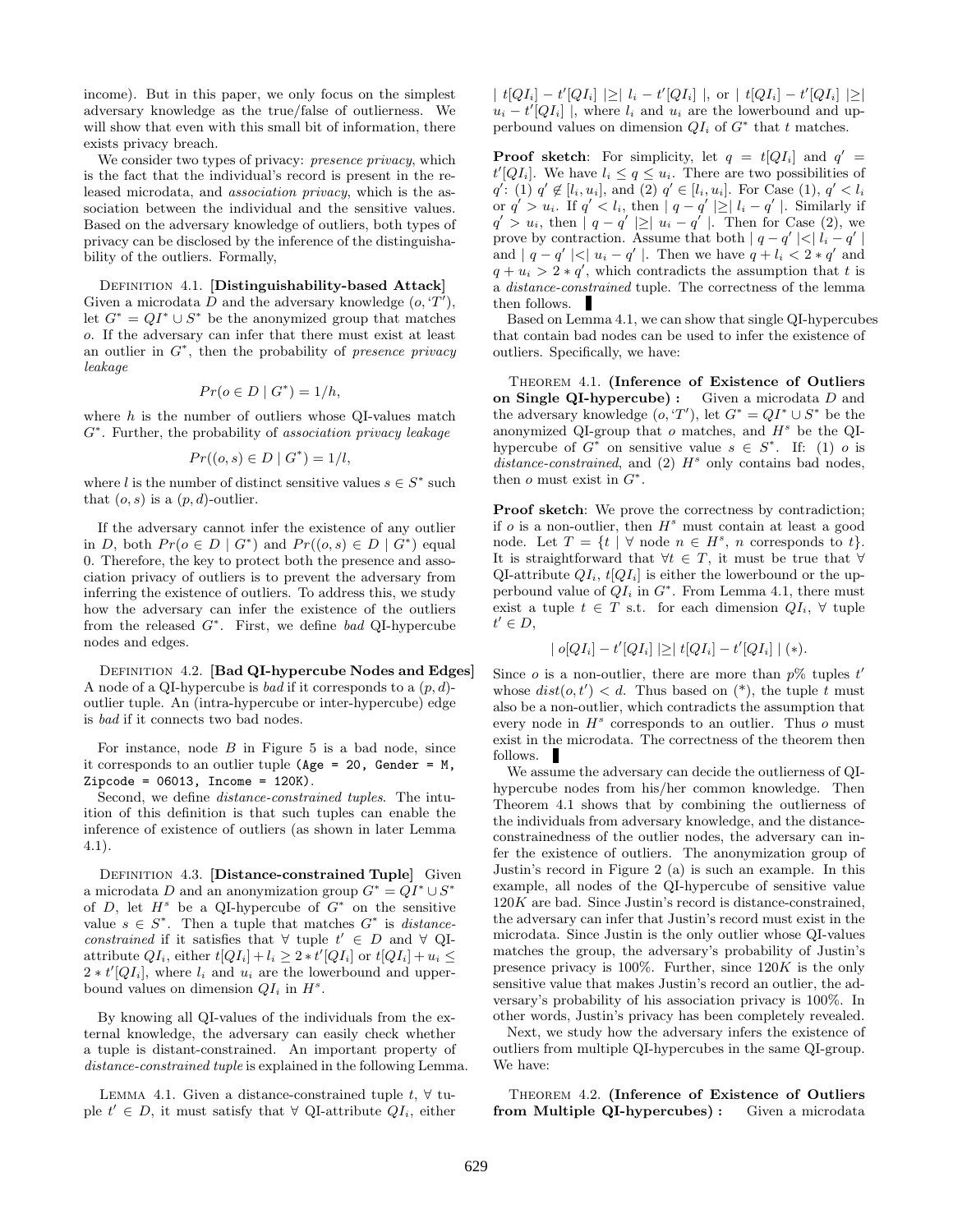income). But in this paper, we only focus on the simplest adversary knowledge as the true/false of outlierness. We will show that even with this small bit of information, there exists privacy breach.

We consider two types of privacy: *presence privacy*, which is the fact that the individual's record is present in the released microdata, and association privacy, which is the association between the individual and the sensitive values. Based on the adversary knowledge of outliers, both types of privacy can be disclosed by the inference of the distinguishability of the outliers. Formally,

DEFINITION 4.1. [Distinguishability-based Attack] Given a microdata  $\overline{D}$  and the adversary knowledge  $(o, T'),$ let  $G^* = QI^* \cup S^*$  be the anonymized group that matches o. If the adversary can infer that there must exist at least an outlier in  $G^*$ , then the probability of presence privacy leakage

$$
Pr(o \in D \mid G^*) = 1/h,
$$

where  $h$  is the number of outliers whose QI-values match G<sup>\*</sup>. Further, the probability of association privacy leakage

$$
Pr((o, s) \in D \mid G^*) = 1/l,
$$

where l is the number of distinct sensitive values  $s \in S^*$  such that  $(o, s)$  is a  $(p, d)$ -outlier.

If the adversary cannot infer the existence of any outlier in D, both  $Pr(o \in D \mid G^*)$  and  $Pr((o, s) \in D \mid G^*)$  equal 0. Therefore, the key to protect both the presence and association privacy of outliers is to prevent the adversary from inferring the existence of outliers. To address this, we study how the adversary can infer the existence of the outliers from the released  $G^*$ . First, we define bad QI-hypercube nodes and edges.

DEFINITION 4.2. [Bad QI-hypercube Nodes and Edges] A node of a QI-hypercube is *bad* if it corresponds to a  $(p, d)$ outlier tuple. An (intra-hypercube or inter-hypercube) edge is bad if it connects two bad nodes.

For instance, node  $B$  in Figure 5 is a bad node, since it corresponds to an outlier tuple ( $Age = 20$ ,  $Gender = M$ , Zipcode =  $06013$ , Income =  $120K$ ).

Second, we define *distance-constrained tuples*. The intuition of this definition is that such tuples can enable the inference of existence of outliers (as shown in later Lemma 4.1).

DEFINITION 4.3. [Distance-constrained Tuple] Given a microdata D and an anonymization group  $G^* = QI^* \cup S^*$ of  $D$ , let  $H^s$  be a QI-hypercube of  $G^*$  on the sensitive value  $s \in S^*$ . Then a tuple that matches  $G^*$  is *distance*constrained if it satisfies that  $\forall$  tuple  $t' \in D$  and  $\forall$  QIattribute  $QI_i$ , either  $t[QI_i] + l_i \geq 2 \star t'[QI_i]$  or  $t[QI_i] + u_i \leq$  $2 * t'[QI_i]$ , where  $l_i$  and  $u_i$  are the lowerbound and upperbound values on dimension  $QI_i$  in  $H^s$ .

By knowing all QI-values of the individuals from the external knowledge, the adversary can easily check whether a tuple is distant-constrained. An important property of distance-constrained tuple is explained in the following Lemma.

LEMMA 4.1. Given a distance-constrained tuple  $t, \forall$  tuple  $t' \in D$ , it must satisfy that  $\forall$  QI-attribute  $QI_i$ , either

|  $t[QI_i] - t'[QI_i] \geq |l_i - t'[QI_i]|$ , or  $|t[QI_i] - t'[QI_i]| \geq |t|$  $u_i - t'[QI_i]$ , where  $l_i$  and  $u_i$  are the lowerbound and upperbound values on dimension  $QI_i$  of  $G^*$  that t matches.

**Proof sketch**: For simplicity, let  $q = t[QI_i]$  and  $q' =$  $t'[QI_i]$ . We have  $l_i \leq q \leq u_i$ . There are two possibilities of  $q'$ : (1)  $q' \notin [l_i, u_i]$ , and (2)  $q' \in [l_i, u_i]$ . For Case (1),  $q' < l_i$ or  $q' > u_i$ . If  $q' < l_i$ , then  $|q - q'| \geq |l_i - q'|$ . Similarly if  $q' > u_i$ , then  $|q - q'| \ge |u_i - q'|$ . Then for Case (2), we prove by contraction. Assume that both  $|q-q'|<|l_i-q'|$ and  $|q - q'| < |u_i - q'|$ . Then we have  $q + l_i < 2 * q'$  and  $q + u_i > 2 * q'$ , which contradicts the assumption that t is a distance-constrained tuple. The correctness of the lemma then follows.  $\blacksquare$ 

Based on Lemma 4.1, we can show that single QI-hypercubes that contain bad nodes can be used to infer the existence of outliers. Specifically, we have:

Theorem 4.1. (Inference of Existence of Outliers on Single QI-hypercube): Given a microdata D and the adversary knowledge  $(o, T')$ , let  $G^* = QI^* \cup S^*$  be the anonymized QI-group that  $o$  matches, and  $H<sup>s</sup>$  be the QIhypercube of  $G^*$  on sensitive value  $s \in S^*$ . If: (1) o is distance-constrained, and  $(2)$   $H^s$  only contains bad nodes, then  $o$  must exist in  $G^*$ .

Proof sketch: We prove the correctness by contradiction; if  $o$  is a non-outlier, then  $H<sup>s</sup>$  must contain at least a good node. Let  $T = \{t \mid \forall \text{ node } n \in H^s, n \text{ corresponds to } t\}.$ It is straightforward that  $\forall t \in T$ , it must be true that  $\forall$ QI-attribute  $QI_i$ ,  $t[QI_i]$  is either the lowerbound or the upperbound value of  $QI_i$  in  $G^*$ . From Lemma 4.1, there must exist a tuple  $t \in T$  s.t. for each dimension  $QI_i$ ,  $\forall$  tuple  $t' \in D$ ,

$$
|o[QI_i] - t'[QI_i]| \geq |t[QI_i] - t'[QI_i]| (*).
$$

Since  $o$  is a non-outlier, there are more than  $p\%$  tuples  $t'$ whose  $dist(o, t') < d$ . Thus based on  $(*)$ , the tuple t must also be a non-outlier, which contradicts the assumption that every node in  $H^s$  corresponds to an outlier. Thus  $o$  must exist in the microdata. The correctness of the theorem then follows.

We assume the adversary can decide the outlierness of QIhypercube nodes from his/her common knowledge. Then Theorem 4.1 shows that by combining the outlierness of the individuals from adversary knowledge, and the distanceconstrainedness of the outlier nodes, the adversary can infer the existence of outliers. The anonymization group of Justin's record in Figure 2 (a) is such an example. In this example, all nodes of the QI-hypercube of sensitive value  $120K$  are bad. Since Justin's record is distance-constrained, the adversary can infer that Justin's record must exist in the microdata. Since Justin is the only outlier whose QI-values matches the group, the adversary's probability of Justin's presence privacy is  $100\%$ . Further, since  $120K$  is the only sensitive value that makes Justin's record an outlier, the adversary's probability of his association privacy is 100%. In other words, Justin's privacy has been completely revealed.

Next, we study how the adversary infers the existence of outliers from multiple QI-hypercubes in the same QI-group. We have:

THEOREM 4.2. (Inference of Existence of Outliers from Multiple QI-hypercubes) : Given a microdata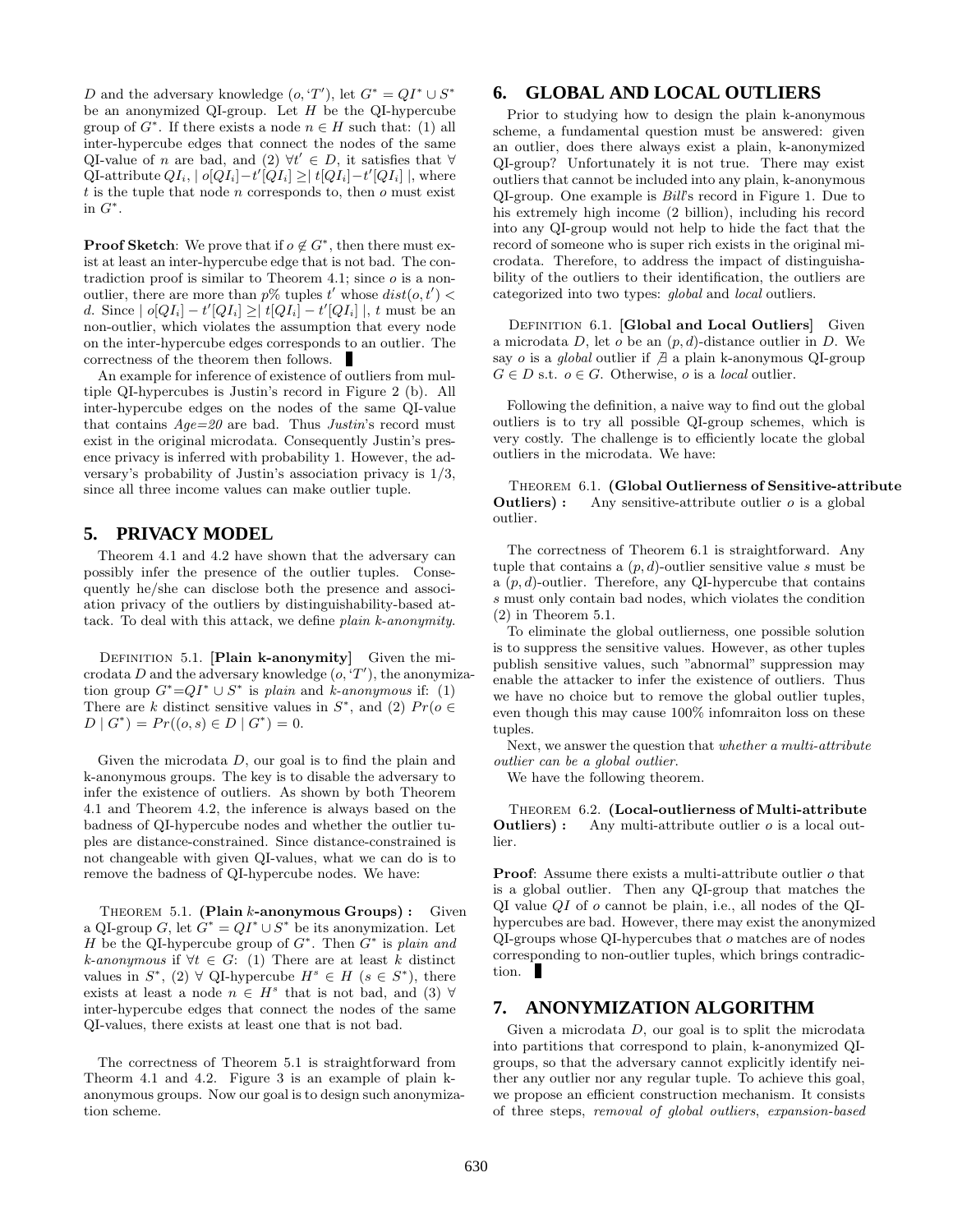D and the adversary knowledge  $(o, T')$ , let  $G^* = QI^* \cup S^*$ be an anonymized QI-group. Let  $H$  be the QI-hypercube group of  $G^*$ . If there exists a node  $n \in H$  such that: (1) all inter-hypercube edges that connect the nodes of the same QI-value of n are bad, and (2)  $\forall t' \in D$ , it satisfies that  $\forall$ QI-attribute  $QI_i$ ,  $|o[QI_i] - t' |QI_i| \geq |t|QI_i| - t' |QI_i|$  |, where  $t$  is the tuple that node  $n$  corresponds to, then  $o$  must exist in  $G^*$ .

**Proof Sketch:** We prove that if  $o \notin G^*$ , then there must exist at least an inter-hypercube edge that is not bad. The contradiction proof is similar to Theorem 4.1; since  $o$  is a nonoutlier, there are more than  $p\%$  tuples t' whose  $dist(o, t')$  < d. Since  $|o[QI_i] - t'[QI_i] \ge |t[QI_i] - t'[QI_i] |$ , t must be an non-outlier, which violates the assumption that every node on the inter-hypercube edges corresponds to an outlier. The correctness of the theorem then follows.

An example for inference of existence of outliers from multiple QI-hypercubes is Justin's record in Figure 2 (b). All inter-hypercube edges on the nodes of the same QI-value that contains  $Age=20$  are bad. Thus Justin's record must exist in the original microdata. Consequently Justin's presence privacy is inferred with probability 1. However, the adversary's probability of Justin's association privacy is 1/3, since all three income values can make outlier tuple.

# **5. PRIVACY MODEL**

Theorem 4.1 and 4.2 have shown that the adversary can possibly infer the presence of the outlier tuples. Consequently he/she can disclose both the presence and association privacy of the outliers by distinguishability-based attack. To deal with this attack, we define plain k-anonymity.

DEFINITION 5.1. [Plain k-anonymity] Given the microdata D and the adversary knowledge  $(o, 'T')$ , the anonymization group  $G^* = QI^* \cup S^*$  is plain and k-anonymous if: (1) There are k distinct sensitive values in  $S^*$ , and (2)  $Pr(o \in$  $D | G^* = Pr((o, s) \in D | G^*) = 0.$ 

Given the microdata D, our goal is to find the plain and k-anonymous groups. The key is to disable the adversary to infer the existence of outliers. As shown by both Theorem 4.1 and Theorem 4.2, the inference is always based on the badness of QI-hypercube nodes and whether the outlier tuples are distance-constrained. Since distance-constrained is not changeable with given QI-values, what we can do is to remove the badness of QI-hypercube nodes. We have:

THEOREM 5.1. (Plain  $k$ -anonymous Groups) : Given a QI-group G, let  $G^* = QI^* \cup S^*$  be its anonymization. Let H be the QI-hypercube group of  $G^*$ . Then  $G^*$  is plain and k-anonymous if  $\forall t \in G: (1)$  There are at least k distinct values in  $S^*$ , (2)  $\forall$  QI-hypercube  $H^s \in H$  ( $s \in S^*$ ), there exists at least a node  $n \in H^s$  that is not bad, and (3)  $\forall$ inter-hypercube edges that connect the nodes of the same QI-values, there exists at least one that is not bad.

The correctness of Theorem 5.1 is straightforward from Theorm 4.1 and 4.2. Figure 3 is an example of plain kanonymous groups. Now our goal is to design such anonymization scheme.

# **6. GLOBAL AND LOCAL OUTLIERS**

Prior to studying how to design the plain k-anonymous scheme, a fundamental question must be answered: given an outlier, does there always exist a plain, k-anonymized QI-group? Unfortunately it is not true. There may exist outliers that cannot be included into any plain, k-anonymous QI-group. One example is Bill's record in Figure 1. Due to his extremely high income (2 billion), including his record into any QI-group would not help to hide the fact that the record of someone who is super rich exists in the original microdata. Therefore, to address the impact of distinguishability of the outliers to their identification, the outliers are categorized into two types: global and local outliers.

DEFINITION 6.1. [Global and Local Outliers] Given a microdata  $D$ , let  $o$  be an  $(p, d)$ -distance outlier in  $D$ . We say o is a *global* outlier if  $\beta$  a plain k-anonymous QI-group  $G \in D$  s.t.  $o \in G$ . Otherwise, o is a *local* outlier.

Following the definition, a naive way to find out the global outliers is to try all possible QI-group schemes, which is very costly. The challenge is to efficiently locate the global outliers in the microdata. We have:

THEOREM 6.1. (Global Outlierness of Sensitive-attribute **Outliers**): Any sensitive-attribute outlier  $o$  is a global outlier.

The correctness of Theorem 6.1 is straightforward. Any tuple that contains a  $(p, d)$ -outlier sensitive value s must be a  $(p, d)$ -outlier. Therefore, any QI-hypercube that contains s must only contain bad nodes, which violates the condition (2) in Theorem 5.1.

To eliminate the global outlierness, one possible solution is to suppress the sensitive values. However, as other tuples publish sensitive values, such "abnormal" suppression may enable the attacker to infer the existence of outliers. Thus we have no choice but to remove the global outlier tuples, even though this may cause 100% infomraiton loss on these tuples.

Next, we answer the question that whether a multi-attribute outlier can be a global outlier.

We have the following theorem.

Theorem 6.2. (Local-outlierness of Multi-attribute **Outliers**) : Any multi-attribute outlier  $o$  is a local outlier.

Proof: Assume there exists a multi-attribute outlier  $o$  that is a global outlier. Then any QI-group that matches the QI value QI of o cannot be plain, i.e., all nodes of the QIhypercubes are bad. However, there may exist the anonymized QI-groups whose QI-hypercubes that o matches are of nodes corresponding to non-outlier tuples, which brings contradiction.

#### **7. ANONYMIZATION ALGORITHM**

Given a microdata  $D$ , our goal is to split the microdata into partitions that correspond to plain, k-anonymized QIgroups, so that the adversary cannot explicitly identify neither any outlier nor any regular tuple. To achieve this goal, we propose an efficient construction mechanism. It consists of three steps, removal of global outliers, expansion-based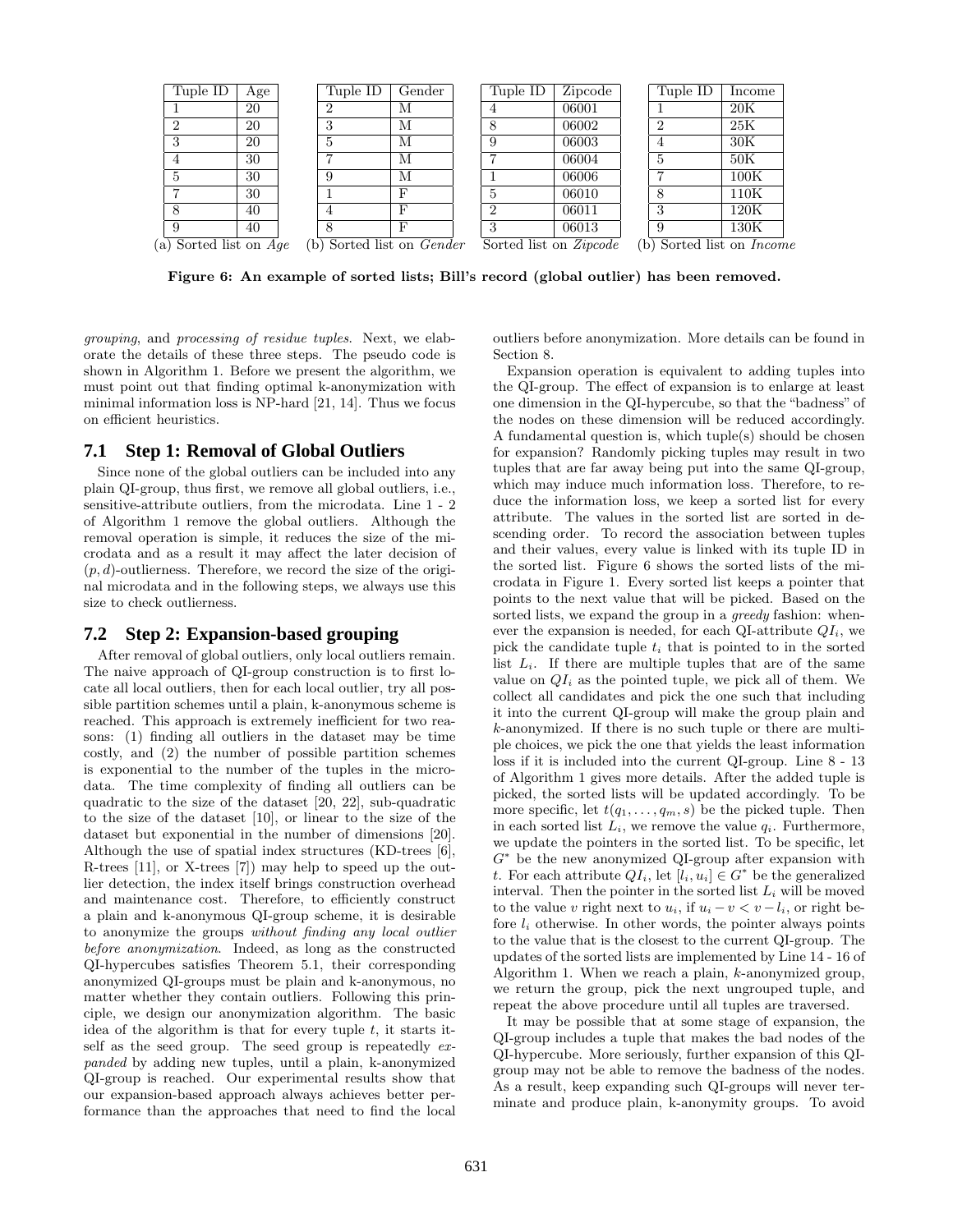

Figure 6: An example of sorted lists; Bill's record (global outlier) has been removed.

grouping, and processing of residue tuples. Next, we elaborate the details of these three steps. The pseudo code is shown in Algorithm 1. Before we present the algorithm, we must point out that finding optimal k-anonymization with minimal information loss is NP-hard [21, 14]. Thus we focus on efficient heuristics.

#### **7.1 Step 1: Removal of Global Outliers**

Since none of the global outliers can be included into any plain QI-group, thus first, we remove all global outliers, i.e., sensitive-attribute outliers, from the microdata. Line 1 - 2 of Algorithm 1 remove the global outliers. Although the removal operation is simple, it reduces the size of the microdata and as a result it may affect the later decision of  $(p, d)$ -outlierness. Therefore, we record the size of the original microdata and in the following steps, we always use this size to check outlierness.

## **7.2 Step 2: Expansion-based grouping**

After removal of global outliers, only local outliers remain. The naive approach of QI-group construction is to first locate all local outliers, then for each local outlier, try all possible partition schemes until a plain, k-anonymous scheme is reached. This approach is extremely inefficient for two reasons: (1) finding all outliers in the dataset may be time costly, and (2) the number of possible partition schemes is exponential to the number of the tuples in the microdata. The time complexity of finding all outliers can be quadratic to the size of the dataset [20, 22], sub-quadratic to the size of the dataset [10], or linear to the size of the dataset but exponential in the number of dimensions [20]. Although the use of spatial index structures (KD-trees [6], R-trees [11], or X-trees [7]) may help to speed up the outlier detection, the index itself brings construction overhead and maintenance cost. Therefore, to efficiently construct a plain and k-anonymous QI-group scheme, it is desirable to anonymize the groups without finding any local outlier before anonymization. Indeed, as long as the constructed QI-hypercubes satisfies Theorem 5.1, their corresponding anonymized QI-groups must be plain and k-anonymous, no matter whether they contain outliers. Following this principle, we design our anonymization algorithm. The basic idea of the algorithm is that for every tuple  $t$ , it starts itself as the seed group. The seed group is repeatedly expanded by adding new tuples, until a plain, k-anonymized QI-group is reached. Our experimental results show that our expansion-based approach always achieves better performance than the approaches that need to find the local

outliers before anonymization. More details can be found in Section 8.

Expansion operation is equivalent to adding tuples into the QI-group. The effect of expansion is to enlarge at least one dimension in the QI-hypercube, so that the "badness" of the nodes on these dimension will be reduced accordingly. A fundamental question is, which tuple(s) should be chosen for expansion? Randomly picking tuples may result in two tuples that are far away being put into the same QI-group, which may induce much information loss. Therefore, to reduce the information loss, we keep a sorted list for every attribute. The values in the sorted list are sorted in descending order. To record the association between tuples and their values, every value is linked with its tuple ID in the sorted list. Figure 6 shows the sorted lists of the microdata in Figure 1. Every sorted list keeps a pointer that points to the next value that will be picked. Based on the sorted lists, we expand the group in a greedy fashion: whenever the expansion is needed, for each QI-attribute  $QI_i$ , we pick the candidate tuple  $t_i$  that is pointed to in the sorted list  $L_i$ . If there are multiple tuples that are of the same value on  $QI_i$  as the pointed tuple, we pick all of them. We collect all candidates and pick the one such that including it into the current QI-group will make the group plain and k-anonymized. If there is no such tuple or there are multiple choices, we pick the one that yields the least information loss if it is included into the current QI-group. Line 8 - 13 of Algorithm 1 gives more details. After the added tuple is picked, the sorted lists will be updated accordingly. To be more specific, let  $t(q_1, \ldots, q_m, s)$  be the picked tuple. Then in each sorted list  $L_i$ , we remove the value  $q_i$ . Furthermore, we update the pointers in the sorted list. To be specific, let  $G^*$  be the new anonymized QI-group after expansion with t. For each attribute  $QI_i$ , let  $[l_i, u_i] \in G^*$  be the generalized interval. Then the pointer in the sorted list  $L_i$  will be moved to the value v right next to  $u_i$ , if  $u_i - v < v - l_i$ , or right before  $l_i$  otherwise. In other words, the pointer always points to the value that is the closest to the current QI-group. The updates of the sorted lists are implemented by Line 14 - 16 of Algorithm 1. When we reach a plain, k-anonymized group, we return the group, pick the next ungrouped tuple, and repeat the above procedure until all tuples are traversed.

It may be possible that at some stage of expansion, the QI-group includes a tuple that makes the bad nodes of the QI-hypercube. More seriously, further expansion of this QIgroup may not be able to remove the badness of the nodes. As a result, keep expanding such QI-groups will never terminate and produce plain, k-anonymity groups. To avoid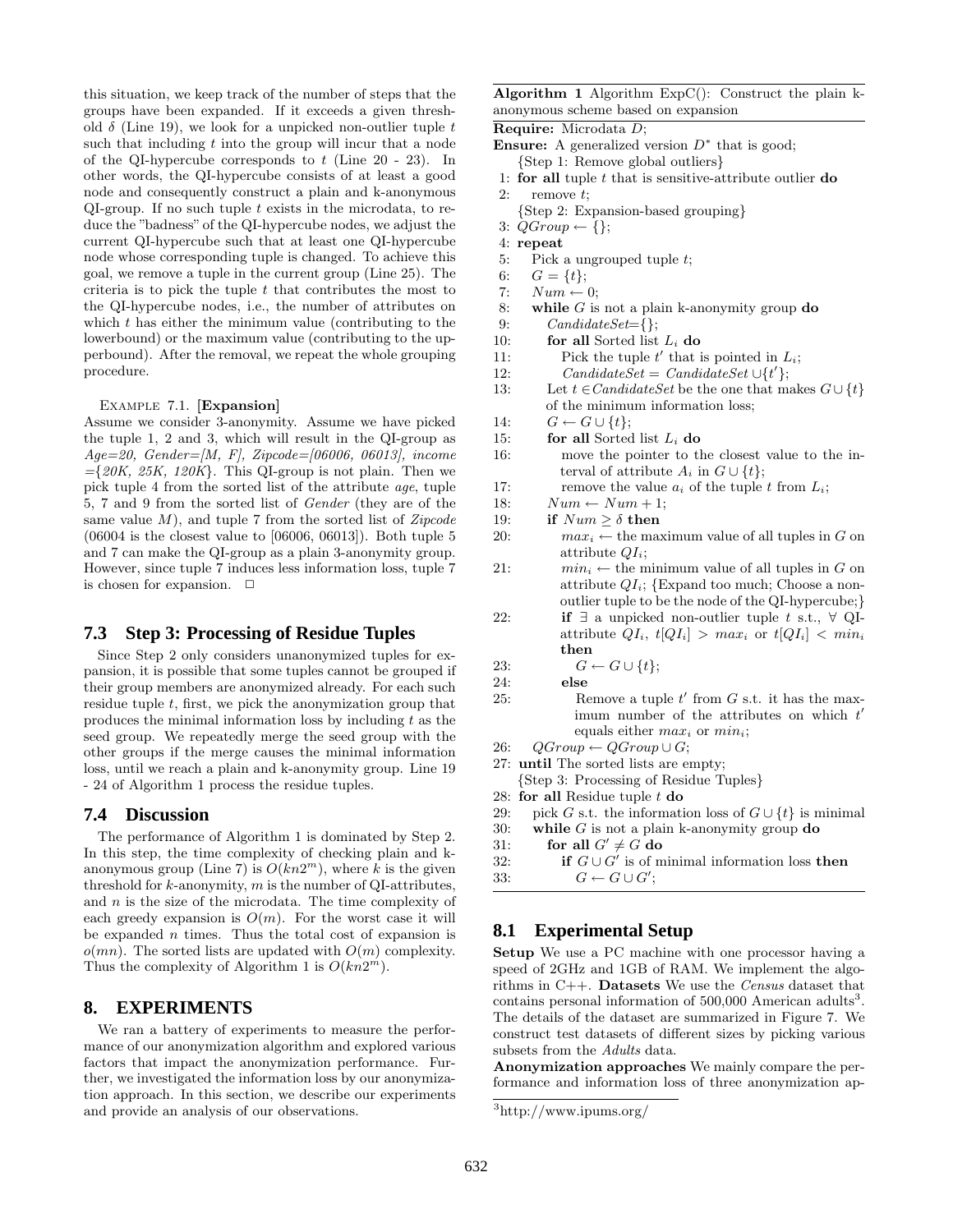this situation, we keep track of the number of steps that the groups have been expanded. If it exceeds a given threshold  $\delta$  (Line 19), we look for a unpicked non-outlier tuple t such that including  $t$  into the group will incur that a node of the QI-hypercube corresponds to  $t$  (Line 20 - 23). In other words, the QI-hypercube consists of at least a good node and consequently construct a plain and k-anonymous QI-group. If no such tuple  $t$  exists in the microdata, to reduce the "badness" of the QI-hypercube nodes, we adjust the current QI-hypercube such that at least one QI-hypercube node whose corresponding tuple is changed. To achieve this goal, we remove a tuple in the current group (Line 25). The criteria is to pick the tuple  $t$  that contributes the most to the QI-hypercube nodes, i.e., the number of attributes on which  $t$  has either the minimum value (contributing to the lowerbound) or the maximum value (contributing to the upperbound). After the removal, we repeat the whole grouping procedure.

#### Example 7.1. [Expansion]

Assume we consider 3-anonymity. Assume we have picked the tuple 1, 2 and 3, which will result in the QI-group as Age=20, Gender=[M, F], Zipcode=[06006, 06013], income  $=\{20K, 25K, 120K\}$ . This QI-group is not plain. Then we pick tuple 4 from the sorted list of the attribute age, tuple 5, 7 and 9 from the sorted list of Gender (they are of the same value  $M$ ), and tuple 7 from the sorted list of  $Zipcode$ (06004 is the closest value to [06006, 06013]). Both tuple 5 and 7 can make the QI-group as a plain 3-anonymity group. However, since tuple 7 induces less information loss, tuple 7 is chosen for expansion.  $\Box$ 

#### **7.3 Step 3: Processing of Residue Tuples**

Since Step 2 only considers unanonymized tuples for expansion, it is possible that some tuples cannot be grouped if their group members are anonymized already. For each such residue tuple  $t$ , first, we pick the anonymization group that produces the minimal information loss by including  $t$  as the seed group. We repeatedly merge the seed group with the other groups if the merge causes the minimal information loss, until we reach a plain and k-anonymity group. Line 19 - 24 of Algorithm 1 process the residue tuples.

#### **7.4 Discussion**

The performance of Algorithm 1 is dominated by Step 2. In this step, the time complexity of checking plain and kanonymous group (Line 7) is  $O(kn2^m)$ , where k is the given threshold for  $k$ -anonymity,  $m$  is the number of QI-attributes, and  $n$  is the size of the microdata. The time complexity of each greedy expansion is  $O(m)$ . For the worst case it will be expanded  $n$  times. Thus the total cost of expansion is  $o(mn)$ . The sorted lists are updated with  $O(m)$  complexity. Thus the complexity of Algorithm 1 is  $O(kn2^m)$ .

# **8. EXPERIMENTS**

We ran a battery of experiments to measure the performance of our anonymization algorithm and explored various factors that impact the anonymization performance. Further, we investigated the information loss by our anonymization approach. In this section, we describe our experiments and provide an analysis of our observations.

Algorithm 1 Algorithm ExpC(): Construct the plain kanonymous scheme based on expansion

Require: Microdata D;

- **Ensure:** A generalized version  $D^*$  that is good; {Step 1: Remove global outliers}
- 1: for all tuple  $t$  that is sensitive-attribute outlier  $d\mathbf{o}$
- 2: remove t;
	- {Step 2: Expansion-based grouping}
- 3:  $\tilde{Q}Group\leftarrow{}{\}$ ;
- 4: repeat
- 5: Pick a ungrouped tuple t;
- 6:  $G = \{t\};$
- 7:  $Num \leftarrow 0;$
- 8: while  $G$  is not a plain k-anonymity group  $\bf{do}$
- 9:  $CandidateSet = \{\};$
- 10: **for all** Sorted list  $L_i$  do
- 11: Pick the tuple  $t'$  that is pointed in  $L_i$ ;
- 12:  $C and idateSet = CandidateSet \cup \{t'\};$
- 13: Let  $t \in CandidateSet$  be the one that makes  $G \cup \{t\}$ of the minimum information loss;
- 14:  $G \leftarrow G \cup \{t\};$
- 15: **for all** Sorted list  $L_i$  do
- 16: move the pointer to the closest value to the interval of attribute  $A_i$  in  $G \cup \{t\};$
- 17: remove the value  $a_i$  of the tuple t from  $L_i$ ;
- 18:  $Num \leftarrow Num + 1;$
- 19: if  $Num \geq \delta$  then
- 20:  $max_i \leftarrow$  the maximum value of all tuples in G on attribute  $QI_i$ ;
- 21:  $min_i \leftarrow$  the minimum value of all tuples in G on attribute  $QI_i$ ; {Expand too much; Choose a nonoutlier tuple to be the node of the QI-hypercube;}
- 22: **if**  $\exists$  a unpicked non-outlier tuple t s.t.,  $\forall$  QIattribute  $QI_i$ ,  $t[QI_i] > max_i$  or  $t[QI_i] < min_i$ then
- 23:  $G \leftarrow G \cup \{t\};$
- 24: else
	- 25: Remove a tuple  $t'$  from  $G$  s.t. it has the maximum number of the attributes on which  $t'$ equals either  $max_i$  or  $min_i$ ;
	- 26:  $QGroup \leftarrow QGroup \cup G;$
	- 27: until The sorted lists are empty; {Step 3: Processing of Residue Tuples}
	- 28: for all Residue tuple  $t$  do
	- 29: pick G s.t. the information loss of  $G \cup \{t\}$  is minimal
	- 30: while  $G$  is not a plain k-anonymity group  $\bf{do}$
	- 31: for all  $G' \neq G$  do
	- 32: if  $G \cup G'$  is of minimal information loss then
	- 33:  $G \leftarrow G \cup G';$

# **8.1 Experimental Setup**

Setup We use a PC machine with one processor having a speed of 2GHz and 1GB of RAM. We implement the algorithms in C++. Datasets We use the Census dataset that contains personal information of  $500,000$  American adults<sup>3</sup>. The details of the dataset are summarized in Figure 7. We construct test datasets of different sizes by picking various subsets from the Adults data.

Anonymization approaches We mainly compare the performance and information loss of three anonymization ap-

<sup>3</sup>http://www.ipums.org/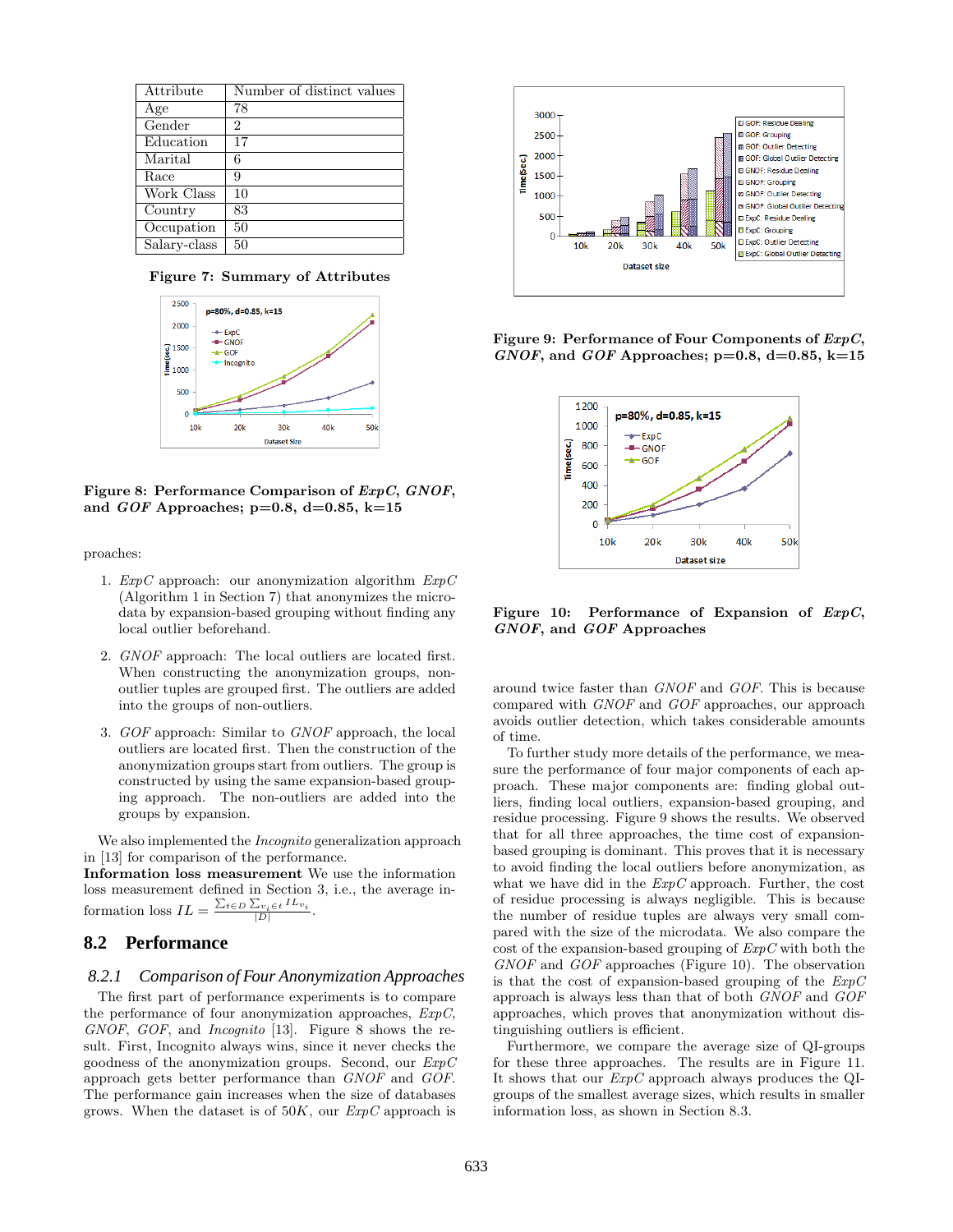| Attribute    | Number of distinct values |
|--------------|---------------------------|
| Age          | 78                        |
| Gender       | 2                         |
| Education    | 17                        |
| Marital      | 6                         |
| Race         | 9                         |
| Work Class   | 10                        |
| Country      | 83                        |
| Occupation   | 50                        |
| Salary-class | 50                        |

Figure 7: Summary of Attributes



Figure 8: Performance Comparison of ExpC, GNOF, and GOF Approaches;  $p=0.8$ ,  $d=0.85$ ,  $k=15$ 

proaches:

- 1.  $ExpC$  approach: our anonymization algorithm  $ExpC$ (Algorithm 1 in Section 7) that anonymizes the microdata by expansion-based grouping without finding any local outlier beforehand.
- 2. GNOF approach: The local outliers are located first. When constructing the anonymization groups, nonoutlier tuples are grouped first. The outliers are added into the groups of non-outliers.
- 3. GOF approach: Similar to GNOF approach, the local outliers are located first. Then the construction of the anonymization groups start from outliers. The group is constructed by using the same expansion-based grouping approach. The non-outliers are added into the groups by expansion.

We also implemented the *Incognito* generalization approach in [13] for comparison of the performance.

Information loss measurement We use the information loss measurement defined in Section 3, i.e., the average information loss  $IL = \frac{\sum_{t \in D} \sum_{v_i \in t} IL_{v_i}}{|D|}$  $\frac{1}{|D|}$ .

## **8.2 Performance**

#### *8.2.1 Comparison of Four Anonymization Approaches*

The first part of performance experiments is to compare the performance of four anonymization approaches,  $ExpC$ , GNOF, GOF, and *Incognito* [13]. Figure 8 shows the result. First, Incognito always wins, since it never checks the goodness of the anonymization groups. Second, our  $ExpC$ approach gets better performance than GNOF and GOF. The performance gain increases when the size of databases grows. When the dataset is of  $50K$ , our  $ExpC$  approach is



Figure 9: Performance of Four Components of ExpC, GNOF, and GOF Approaches;  $p=0.8$ ,  $d=0.85$ ,  $k=15$ 



Figure 10: Performance of Expansion of ExpC, GNOF, and GOF Approaches

around twice faster than GNOF and GOF. This is because compared with GNOF and GOF approaches, our approach avoids outlier detection, which takes considerable amounts of time.

To further study more details of the performance, we measure the performance of four major components of each approach. These major components are: finding global outliers, finding local outliers, expansion-based grouping, and residue processing. Figure 9 shows the results. We observed that for all three approaches, the time cost of expansionbased grouping is dominant. This proves that it is necessary to avoid finding the local outliers before anonymization, as what we have did in the  $ExpC$  approach. Further, the cost of residue processing is always negligible. This is because the number of residue tuples are always very small compared with the size of the microdata. We also compare the cost of the expansion-based grouping of  $ExpC$  with both the GNOF and GOF approaches (Figure 10). The observation is that the cost of expansion-based grouping of the  $ExpC$ approach is always less than that of both GNOF and GOF approaches, which proves that anonymization without distinguishing outliers is efficient.

Furthermore, we compare the average size of QI-groups for these three approaches. The results are in Figure 11. It shows that our ExpC approach always produces the QIgroups of the smallest average sizes, which results in smaller information loss, as shown in Section 8.3.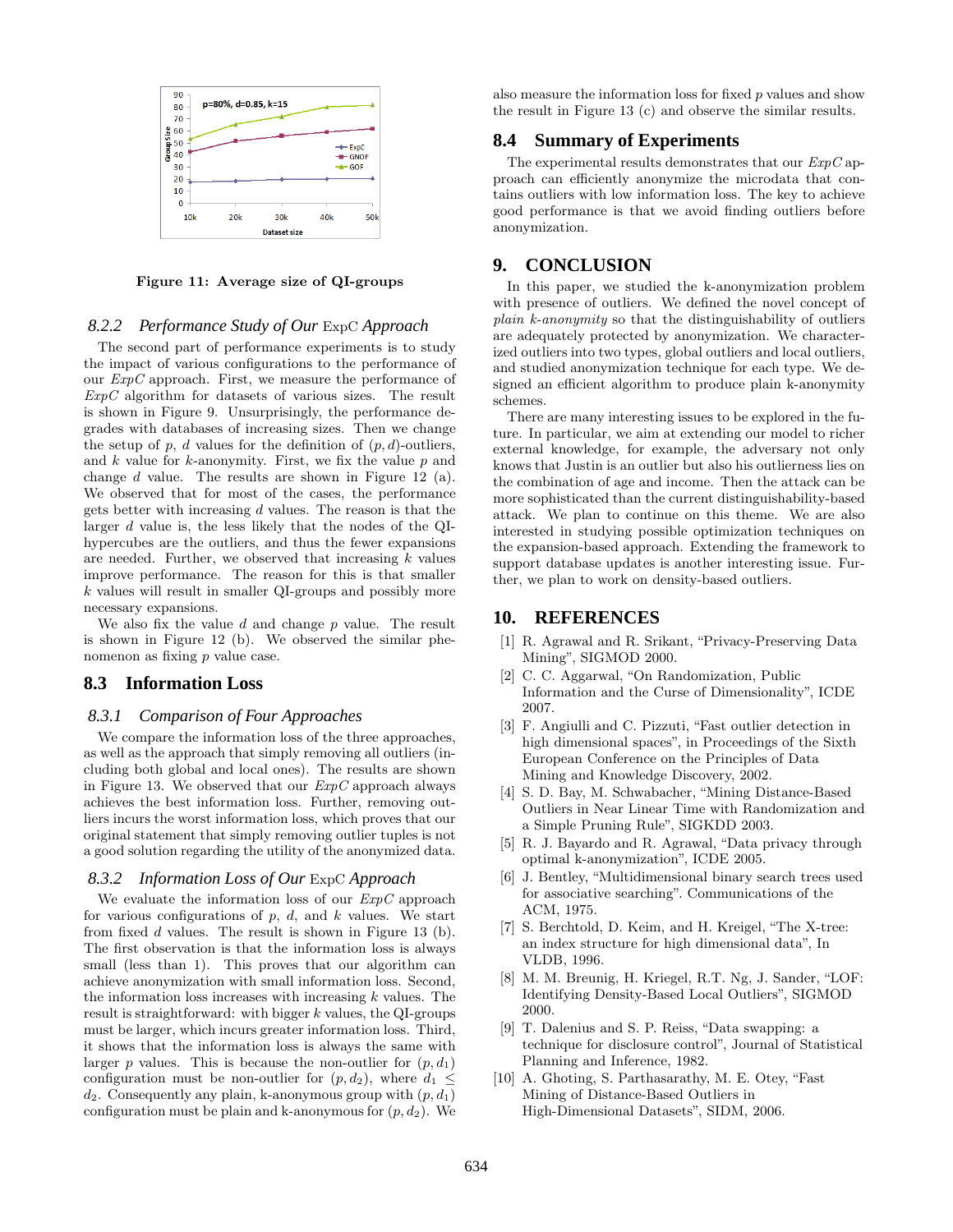

Figure 11: Average size of QI-groups

## *8.2.2 Performance Study of Our* ExpC *Approach*

The second part of performance experiments is to study the impact of various configurations to the performance of our  $ExpC$  approach. First, we measure the performance of  $ExpC$  algorithm for datasets of various sizes. The result is shown in Figure 9. Unsurprisingly, the performance degrades with databases of increasing sizes. Then we change the setup of p, d values for the definition of  $(p, d)$ -outliers, and  $k$  value for  $k$ -anonymity. First, we fix the value  $p$  and change d value. The results are shown in Figure 12 (a). We observed that for most of the cases, the performance gets better with increasing  $d$  values. The reason is that the larger d value is, the less likely that the nodes of the QIhypercubes are the outliers, and thus the fewer expansions are needed. Further, we observed that increasing  $k$  values improve performance. The reason for this is that smaller  $k$  values will result in smaller QI-groups and possibly more necessary expansions.

We also fix the value  $d$  and change  $p$  value. The result is shown in Figure 12 (b). We observed the similar phenomenon as fixing  $p$  value case.

# **8.3 Information Loss**

#### *8.3.1 Comparison of Four Approaches*

We compare the information loss of the three approaches, as well as the approach that simply removing all outliers (including both global and local ones). The results are shown in Figure 13. We observed that our  $ExpC$  approach always achieves the best information loss. Further, removing outliers incurs the worst information loss, which proves that our original statement that simply removing outlier tuples is not a good solution regarding the utility of the anonymized data.

#### *8.3.2 Information Loss of Our* ExpC *Approach*

We evaluate the information loss of our  $ExpC$  approach for various configurations of  $p$ ,  $d$ , and  $k$  values. We start from fixed d values. The result is shown in Figure 13 (b). The first observation is that the information loss is always small (less than 1). This proves that our algorithm can achieve anonymization with small information loss. Second, the information loss increases with increasing  $k$  values. The result is straightforward: with bigger  $k$  values, the QI-groups must be larger, which incurs greater information loss. Third, it shows that the information loss is always the same with larger p values. This is because the non-outlier for  $(p, d_1)$ configuration must be non-outlier for  $(p, d_2)$ , where  $d_1 \leq$  $d_2$ . Consequently any plain, k-anonymous group with  $(p, d_1)$ configuration must be plain and k-anonymous for  $(p, d_2)$ . We also measure the information loss for fixed  $p$  values and show the result in Figure 13 (c) and observe the similar results.

#### **8.4 Summary of Experiments**

The experimental results demonstrates that our  $ExpC$  approach can efficiently anonymize the microdata that contains outliers with low information loss. The key to achieve good performance is that we avoid finding outliers before anonymization.

## **9. CONCLUSION**

In this paper, we studied the k-anonymization problem with presence of outliers. We defined the novel concept of plain k-anonymity so that the distinguishability of outliers are adequately protected by anonymization. We characterized outliers into two types, global outliers and local outliers, and studied anonymization technique for each type. We designed an efficient algorithm to produce plain k-anonymity schemes.

There are many interesting issues to be explored in the future. In particular, we aim at extending our model to richer external knowledge, for example, the adversary not only knows that Justin is an outlier but also his outlierness lies on the combination of age and income. Then the attack can be more sophisticated than the current distinguishability-based attack. We plan to continue on this theme. We are also interested in studying possible optimization techniques on the expansion-based approach. Extending the framework to support database updates is another interesting issue. Further, we plan to work on density-based outliers.

# **10. REFERENCES**

- [1] R. Agrawal and R. Srikant, "Privacy-Preserving Data Mining", SIGMOD 2000.
- [2] C. C. Aggarwal, "On Randomization, Public Information and the Curse of Dimensionality", ICDE 2007.
- [3] F. Angiulli and C. Pizzuti, "Fast outlier detection in high dimensional spaces", in Proceedings of the Sixth European Conference on the Principles of Data Mining and Knowledge Discovery, 2002.
- [4] S. D. Bay, M. Schwabacher, "Mining Distance-Based Outliers in Near Linear Time with Randomization and a Simple Pruning Rule", SIGKDD 2003.
- [5] R. J. Bayardo and R. Agrawal, "Data privacy through optimal k-anonymization", ICDE 2005.
- [6] J. Bentley, "Multidimensional binary search trees used for associative searching". Communications of the ACM, 1975.
- [7] S. Berchtold, D. Keim, and H. Kreigel, "The X-tree: an index structure for high dimensional data", In VLDB, 1996.
- [8] M. M. Breunig, H. Kriegel, R.T. Ng, J. Sander, "LOF: Identifying Density-Based Local Outliers", SIGMOD 2000.
- [9] T. Dalenius and S. P. Reiss, "Data swapping: a technique for disclosure control", Journal of Statistical Planning and Inference, 1982.
- [10] A. Ghoting, S. Parthasarathy, M. E. Otey, "Fast Mining of Distance-Based Outliers in High-Dimensional Datasets", SIDM, 2006.